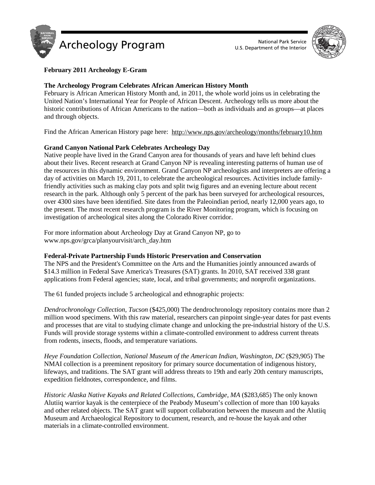



# **February 2011 Archeology E-Gram**

## **The Archeology Program Celebrates African American History Month**

February is African American History Month and, in 2011, the whole world joins us in celebrating the United Nation's International Year for People of African Descent. Archeology tells us more about the historic contributions of African Americans to the nation—both as individuals and as groups—at places and through objects.

Find the African American History page here: [http://www.nps.gov/archeology/months/february10.htm](http://www.nps.gov/archeology/months/february10.htm_)

## **Grand Canyon National Park Celebrates Archeology Day**

Native people have lived in the Grand Canyon area for thousands of years and have left behind clues about their lives. Recent research at Grand Canyon NP is revealing interesting patterns of human use of the resources in this dynamic environment. Grand Canyon NP archeologists and interpreters are offering a day of activities on March 19, 2011, to celebrate the archeological resources. Activities include familyfriendly activities such as making clay pots and split twig figures and an evening lecture about recent research in the park. Although only 5 percent of the park has been surveyed for archeological resources, over 4300 sites have been identified. Site dates from the Paleoindian period, nearly 12,000 years ago, to the present. The most recent research program is the River Monitoring program, which is focusing on investigation of archeological sites along the Colorado River corridor.

For more information about Archeology Day at Grand Canyon NP, go to www.nps.gov/grca/planyourvisit/arch\_day.htm

## **Federal-Private Partnership Funds Historic Preservation and Conservation**

The NPS and the President's Committee on the Arts and the Humanities jointly announced awards of \$14.3 million in Federal Save America's Treasures (SAT) grants. In 2010, SAT received 338 grant applications from Federal agencies; state, local, and tribal governments; and nonprofit organizations.

The 61 funded projects include 5 archeological and ethnographic projects:

*Dendrochronology Collection, Tucson* (\$425,000) The dendrochronology repository contains more than 2 million wood specimens. With this raw material, researchers can pinpoint single-year dates for past events and processes that are vital to studying climate change and unlocking the pre-industrial history of the U.S. Funds will provide storage systems within a climate-controlled environment to address current threats from rodents, insects, floods, and temperature variations.

*Heye Foundation Collection, National Museum of the American Indian, Washington, DC* (\$29,905) The NMAI collection is a preeminent repository for primary source documentation of indigenous history, lifeways, and traditions. The SAT grant will address threats to 19th and early 20th century manuscripts, expedition fieldnotes, correspondence, and films.

*Historic Alaska Native Kayaks and Related Collections, Cambridge, MA* (\$283,685) The only known Alutiiq warrior kayak is the centerpiece of the Peabody Museum's collection of more than 100 kayaks and other related objects. The SAT grant will support collaboration between the museum and the Alutiiq Museum and Archaeological Repository to document, research, and re-house the kayak and other materials in a climate-controlled environment.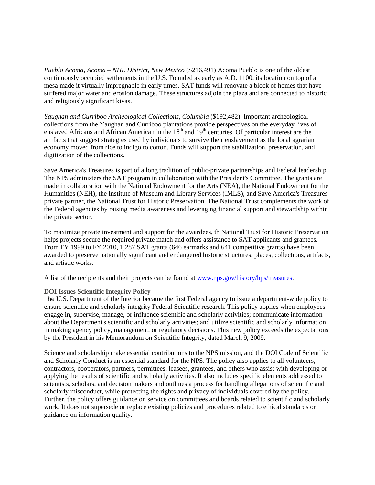*Pueblo Acoma, Acoma – NHL District, New Mexico* (\$216,491) Acoma Pueblo is one of the oldest continuously occupied settlements in the U.S. Founded as early as A.D. 1100, its location on top of a mesa made it virtually impregnable in early times. SAT funds will renovate a block of homes that have suffered major water and erosion damage. These structures adjoin the plaza and are connected to historic and religiously significant kivas.

*Yaughan and Curriboo Archeological Collections, Columbia* (\$192,482) Important archeological collections from the Yaughan and Curriboo plantations provide perspectives on the everyday lives of enslaved Africans and African American in the  $18<sup>th</sup>$  and  $19<sup>th</sup>$  centuries. Of particular interest are the artifacts that suggest strategies used by individuals to survive their enslavement as the local agrarian economy moved from rice to indigo to cotton. Funds will support the stabilization, preservation, and digitization of the collections.

Save America's Treasures is part of a long tradition of public-private partnerships and Federal leadership. The NPS administers the SAT program in collaboration with the President's Committee. The grants are made in collaboration with the National Endowment for the Arts (NEA), the National Endowment for the Humanities (NEH), the Institute of Museum and Library Services (IMLS), and Save America's Treasures' private partner, the National Trust for Historic Preservation. The National Trust complements the work of the Federal agencies by raising media awareness and leveraging financial support and stewardship within the private sector.

To maximize private investment and support for the awardees, th National Trust for Historic Preservation helps projects secure the required private match and offers assistance to SAT applicants and grantees. From FY 1999 to FY 2010, 1,287 SAT grants (646 earmarks and 641 competitive grants) have been awarded to preserve nationally significant and endangered historic structures, places, collections, artifacts, and artistic works.

A list of the recipients and their projects can be found at [www.nps.gov/history/hps/treasures.](http://www.nps.gov/history/hps/treasures)

## **DOI Issues Scientific Integrity Policy**

The U.S. Department of the Interior became the first Federal agency to issue a department-wide policy to ensure scientific and scholarly integrity Federal Scientific research. This policy applies when employees engage in, supervise, manage, or influence scientific and scholarly activities; communicate information about the Department's scientific and scholarly activities; and utilize scientific and scholarly information in making agency policy, management, or regulatory decisions. This new policy exceeds the expectations by the President in his Memorandum on Scientific Integrity, dated March 9, 2009.

Science and scholarship make essential contributions to the NPS mission, and the DOI Code of Scientific and Scholarly Conduct is an essential standard for the NPS. The policy also applies to all volunteers, contractors, cooperators, partners, permittees, leasees, grantees, and others who assist with developing or applying the results of scientific and scholarly activities. It also includes specific elements addressed to scientists, scholars, and decision makers and outlines a process for handling allegations of scientific and scholarly misconduct, while protecting the rights and privacy of individuals covered by the policy. Further, the policy offers guidance on service on committees and boards related to scientific and scholarly work. It does not supersede or replace existing policies and procedures related to ethical standards or guidance on information quality.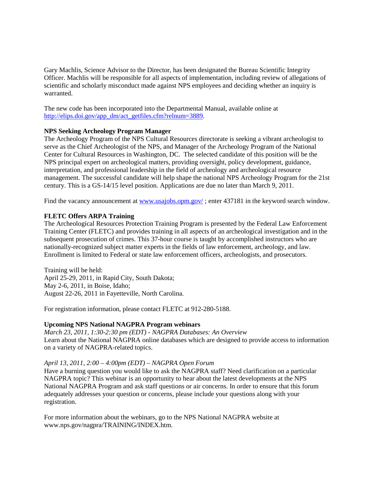Gary Machlis, Science Advisor to the Director, has been designated the Bureau Scientific Integrity Officer. Machlis will be responsible for all aspects of implementation, including review of allegations of scientific and scholarly misconduct made against NPS employees and deciding whether an inquiry is warranted.

The new code has been incorporated into the Departmental Manual, available online at [http://elips.doi.gov/app\\_dm/act\\_getfiles.cfm?relnum=3889.](http://elips.doi.gov/app_dm/act_getfiles.cfm?relnum=3889_)

### **NPS Seeking Archeology Program Manager**

The Archeology Program of the NPS Cultural Resources directorate is seeking a vibrant archeologist to serve as the Chief Archeologist of the NPS, and Manager of the Archeology Program of the National Center for Cultural Resources in Washington, DC. The selected candidate of this position will be the NPS principal expert on archeological matters, providing oversight, policy development, guidance, interpretation, and professional leadership in the field of archeology and archeological resource management. The successful candidate will help shape the national NPS Archeology Program for the 21st century. This is a GS-14/15 level position. Applications are due no later than March 9, 2011.

Find the vacancy announcement at [www.usajobs.opm.gov/](http://www.usajobs.opm.gov/); enter 437181 in the keyword search window.

### **FLETC Offers ARPA Training**

The Archeological Resources Protection Training Program is presented by the Federal Law Enforcement Training Center (FLETC) and provides training in all aspects of an archeological investigation and in the subsequent prosecution of crimes. This 37-hour course is taught by accomplished instructors who are nationally-recognized subject matter experts in the fields of law enforcement, archeology, and law. Enrollment is limited to Federal or state law enforcement officers, archeologists, and prosecutors.

Training will be held: April 25-29, 2011, in Rapid City, South Dakota; May 2-6, 2011, in Boise, Idaho; August 22-26, 2011 in Fayetteville, North Carolina.

For registration information, please contact FLETC at 912-280-5188.

### **Upcoming NPS National NAGPRA Program webinars**

*March 23, 2011, 1:30-2:30 pm (EDT) - NAGPRA Databases: An Overview*  Learn about the National NAGPRA online databases which are designed to provide access to information on a variety of NAGPRA-related topics.

### *April 13, 2011, 2:00 – 4:00pm (EDT) – NAGPRA Open Forum*

Have a burning question you would like to ask the NAGPRA staff? Need clarification on a particular NAGPRA topic? This webinar is an opportunity to hear about the latest developments at the NPS National NAGPRA Program and ask staff questions or air concerns. In order to ensure that this forum adequately addresses your question or concerns, please include your questions along with your registration.

For more information about the webinars, go to the NPS National NAGPRA website at www.nps.gov/nagpra/TRAINING/INDEX.htm.